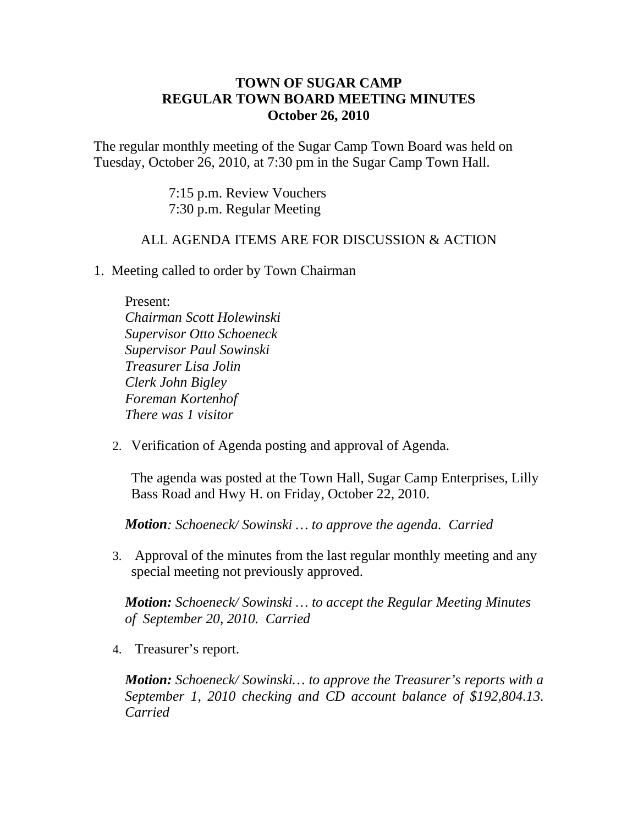## **TOWN OF SUGAR CAMP REGULAR TOWN BOARD MEETING MINUTES October 26, 2010**

The regular monthly meeting of the Sugar Camp Town Board was held on Tuesday, October 26, 2010, at 7:30 pm in the Sugar Camp Town Hall.

> 7:15 p.m. Review Vouchers 7:30 p.m. Regular Meeting

## ALL AGENDA ITEMS ARE FOR DISCUSSION & ACTION

1. Meeting called to order by Town Chairman

Present:

*Chairman Scott Holewinski Supervisor Otto Schoeneck Supervisor Paul Sowinski Treasurer Lisa Jolin Clerk John Bigley Foreman Kortenhof There was 1 visitor*

2. Verification of Agenda posting and approval of Agenda.

The agenda was posted at the Town Hall, Sugar Camp Enterprises, Lilly Bass Road and Hwy H. on Friday, October 22, 2010.

*Motion: Schoeneck/ Sowinski … to approve the agenda. Carried*

3. Approval of the minutes from the last regular monthly meeting and any special meeting not previously approved.

*Motion: Schoeneck/ Sowinski … to accept the Regular Meeting Minutes of September 20, 2010. Carried*

4. Treasurer's report.

*Motion: Schoeneck/ Sowinski… to approve the Treasurer's reports with a September 1, 2010 checking and CD account balance of \$192,804.13. Carried*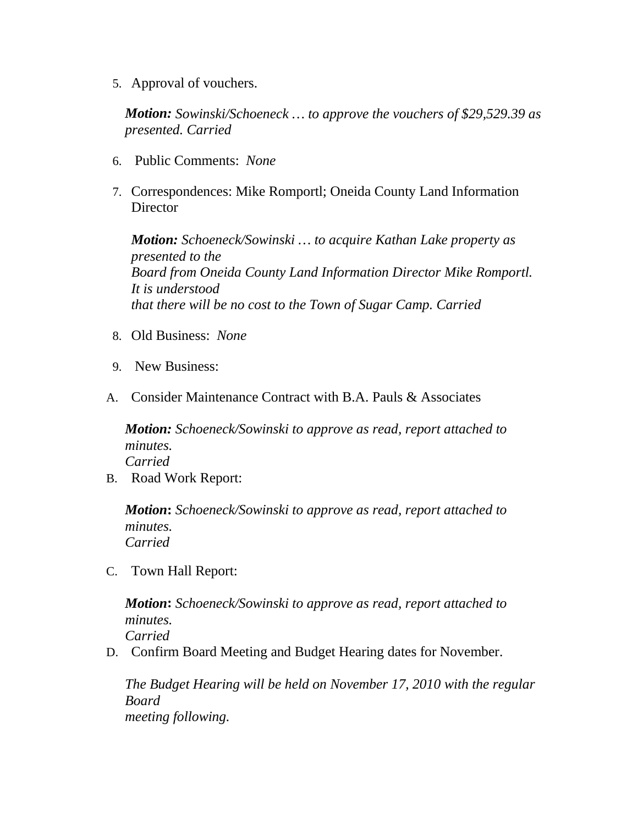5. Approval of vouchers.

*Motion: Sowinski/Schoeneck … to approve the vouchers of \$29,529.39 as presented. Carried*

- 6. Public Comments: *None*
- 7. Correspondences: Mike Romportl; Oneida County Land Information **Director**

*Motion: Schoeneck/Sowinski … to acquire Kathan Lake property as presented to the Board from Oneida County Land Information Director Mike Romportl. It is understood that there will be no cost to the Town of Sugar Camp. Carried*

- 8. Old Business: *None*
- 9. New Business:
- A. Consider Maintenance Contract with B.A. Pauls & Associates

*Motion: Schoeneck/Sowinski to approve as read, report attached to minutes. Carried*

B. Road Work Report:

*Motion***:** *Schoeneck/Sowinski to approve as read, report attached to minutes. Carried*

C. Town Hall Report:

*Motion***:** *Schoeneck/Sowinski to approve as read, report attached to minutes. Carried*

D. Confirm Board Meeting and Budget Hearing dates for November.

*The Budget Hearing will be held on November 17, 2010 with the regular Board meeting following.*